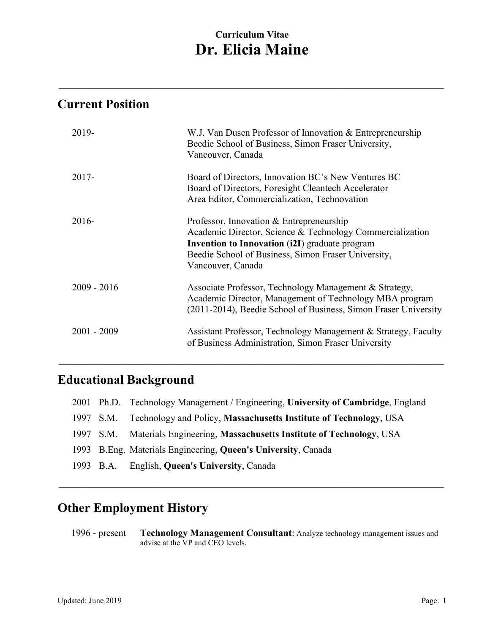**\_\_\_\_\_\_\_\_\_\_\_\_\_\_\_\_\_\_\_\_\_\_\_\_\_\_\_\_\_\_\_\_\_\_\_\_\_\_\_\_\_\_\_\_\_\_\_\_\_\_\_\_\_\_\_\_\_\_\_\_\_\_\_\_\_\_\_\_\_\_\_\_\_\_\_\_\_\_\_\_\_\_\_\_\_\_\_\_\_\_\_\_\_\_\_\_\_\_\_\_\_\_\_\_\_\_\_\_\_\_\_\_\_\_\_\_\_\_**

## **Current Position**

| 2019-         | W.J. Van Dusen Professor of Innovation & Entrepreneurship<br>Beedie School of Business, Simon Fraser University,<br>Vancouver, Canada                                                                                                      |
|---------------|--------------------------------------------------------------------------------------------------------------------------------------------------------------------------------------------------------------------------------------------|
| $2017 -$      | Board of Directors, Innovation BC's New Ventures BC<br>Board of Directors, Foresight Cleantech Accelerator<br>Area Editor, Commercialization, Technovation                                                                                 |
| $2016-$       | Professor, Innovation & Entrepreneurship<br>Academic Director, Science & Technology Commercialization<br><b>Invention to Innovation (i2I)</b> graduate program<br>Beedie School of Business, Simon Fraser University,<br>Vancouver, Canada |
| $2009 - 2016$ | Associate Professor, Technology Management & Strategy,<br>Academic Director, Management of Technology MBA program<br>(2011-2014), Beedie School of Business, Simon Fraser University                                                       |
| $2001 - 2009$ | Assistant Professor, Technology Management & Strategy, Faculty<br>of Business Administration, Simon Fraser University                                                                                                                      |

# **Educational Background**

|  | 2001 Ph.D. Technology Management / Engineering, University of Cambridge, England |
|--|----------------------------------------------------------------------------------|
|  | 1997 S.M. Technology and Policy, Massachusetts Institute of Technology, USA      |
|  | 1997 S.M. Materials Engineering, Massachusetts Institute of Technology, USA      |
|  | 1993 B.Eng. Materials Engineering, Queen's University, Canada                    |
|  | 1993 B.A. English, Queen's University, Canada                                    |

**\_\_\_\_\_\_\_\_\_\_\_\_\_\_\_\_\_\_\_\_\_\_\_\_\_\_\_\_\_\_\_\_\_\_\_\_\_\_\_\_\_\_\_\_\_\_\_\_\_\_\_\_\_\_\_\_\_\_\_\_\_\_\_\_\_\_\_\_\_\_\_\_\_\_\_\_\_\_\_\_\_\_\_\_\_\_\_\_\_\_\_\_\_\_\_\_\_\_\_\_\_\_\_\_\_\_\_\_\_\_\_\_\_\_\_\_\_\_**

**\_\_\_\_\_\_\_\_\_\_\_\_\_\_\_\_\_\_\_\_\_\_\_\_\_\_\_\_\_\_\_\_\_\_\_\_\_\_\_\_\_\_\_\_\_\_\_\_\_\_\_\_\_\_\_\_\_\_\_\_\_\_\_\_\_\_\_\_\_\_\_\_\_\_\_\_\_\_\_\_\_\_\_\_\_\_\_\_\_\_\_\_\_\_\_\_\_\_\_\_\_\_\_\_\_\_\_\_\_\_\_\_\_\_\_\_\_\_**

## **Other Employment History**

1996 - present **Technology Management Consultant**: Analyze technology management issues and advise at the VP and CEO levels.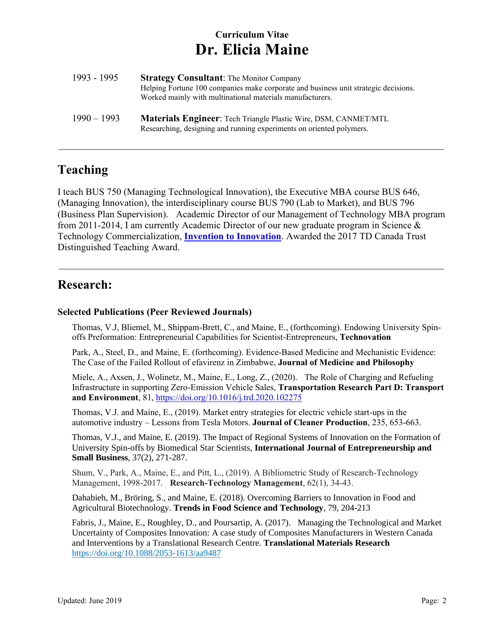| 1993 - 1995   | <b>Strategy Consultant:</b> The Monitor Company<br>Helping Fortune 100 companies make corporate and business unit strategic decisions.<br>Worked mainly with multinational materials manufacturers. |
|---------------|-----------------------------------------------------------------------------------------------------------------------------------------------------------------------------------------------------|
| $1990 - 1993$ | <b>Materials Engineer:</b> Tech Triangle Plastic Wire, DSM, CANMET/MTL<br>Researching, designing and running experiments on oriented polymers.                                                      |

#### **Teaching**

I teach BUS 750 (Managing Technological Innovation), the Executive MBA course BUS 646, (Managing Innovation), the interdisciplinary course BUS 790 (Lab to Market), and BUS 796 (Business Plan Supervision). Academic Director of our Management of Technology MBA program from 2011-2014, I am currently Academic Director of our new graduate program in Science & Technology Commercialization, **[Invention to Innovation](http://beedie.sfu.ca/commercialization-certificate/learn/)**. Awarded the 2017 TD Canada Trust Distinguished Teaching Award.

 $\mathcal{L} = \{ \mathcal{L} = \{ \mathcal{L} = \{ \mathcal{L} = \{ \mathcal{L} = \{ \mathcal{L} = \{ \mathcal{L} = \{ \mathcal{L} = \{ \mathcal{L} = \{ \mathcal{L} = \{ \mathcal{L} = \{ \mathcal{L} = \{ \mathcal{L} = \{ \mathcal{L} = \{ \mathcal{L} = \{ \mathcal{L} = \{ \mathcal{L} = \{ \mathcal{L} = \{ \mathcal{L} = \{ \mathcal{L} = \{ \mathcal{L} = \{ \mathcal{L} = \{ \mathcal{L} = \{ \mathcal{L} = \{ \mathcal{$ 

**\_\_\_\_\_\_\_\_\_\_\_\_\_\_\_\_\_\_\_\_\_\_\_\_\_\_\_\_\_\_\_\_\_\_\_\_\_\_\_\_\_\_\_\_\_\_\_\_\_\_\_\_\_\_\_\_\_\_\_\_\_\_\_\_\_\_\_\_\_\_\_\_\_\_\_\_\_\_\_\_\_\_\_\_\_\_\_\_\_\_\_\_\_\_\_\_\_\_\_\_\_\_\_\_\_\_\_\_\_\_\_\_\_\_\_\_\_\_**

#### **Research:**

#### **Selected Publications (Peer Reviewed Journals)**

Thomas, V.J, Bliemel, M., Shippam-Brett, C., and Maine, E., (forthcoming). Endowing University Spinoffs Preformation: Entrepreneurial Capabilities for Scientist-Entrepreneurs, **Technovation**

Park, A., Steel, D., and Maine, E. (forthcoming). Evidence-Based Medicine and Mechanistic Evidence: The Case of the Failed Rollout of efavirenz in Zimbabwe, **Journal of Medicine and Philosophy**

Miele, A., Axsen, J., Wolinetz, M., Maine, E., Long, Z., (2020). The Role of Charging and Refueling Infrastructure in supporting Zero-Emission Vehicle Sales, **Transportation Research Part D: Transport and Environment**, 81,<https://doi.org/10.1016/j.trd.2020.102275>

Thomas, V.J. and Maine, E., (2019). Market entry strategies for electric vehicle start-ups in the automotive industry – Lessons from Tesla Motors. **Journal of Cleaner Production**, 235, 653-663.

Thomas, V.J., and Maine, E. (2019). The Impact of Regional Systems of Innovation on the Formation of University Spin-offs by Biomedical Star Scientists, **International Journal of Entrepreneurship and Small Business**, 37(2), 271-287.

Shum, V., Park, A., Maine, E., and Pitt, L., (2019). A Bibliometric Study of Research-Technology Management, 1998-2017. **Research-Technology Management**, 62(1), 34-43.

Dahabieh, M., Bröring, S., and Maine, E. (2018). Overcoming Barriers to Innovation in Food and Agricultural Biotechnology. **Trends in Food Science and Technology**, 79, 204-213

Fabris, J., Maine, E., Roughley, D., and Poursartip, A. (2017). Managing the Technological and Market Uncertainty of Composites Innovation: A case study of Composites Manufacturers in Western Canada and Interventions by a Translational Research Centre. **Translational Materials Research** <https://doi.org/10.1088/2053-1613/aa9487>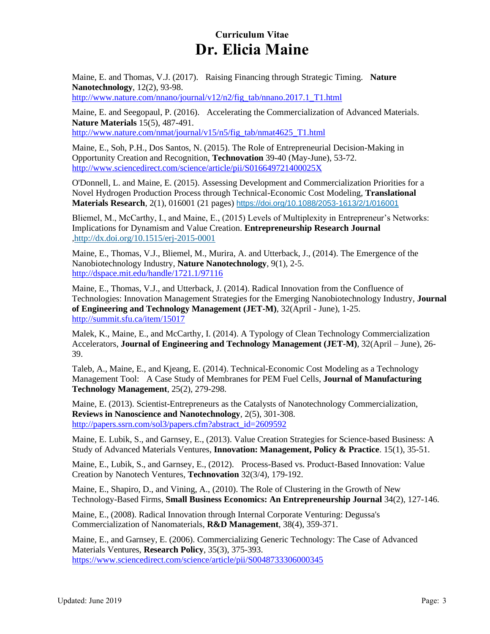Maine, E. and Thomas, V.J. (2017). Raising Financing through Strategic Timing. **Nature Nanotechnology**, 12(2), 93-98.

http://www.nature.com/nnano/journal/v12/n2/fig\_tab/nnano.2017.1\_T1.html

Maine, E. and Seegopaul, P. (2016). Accelerating the Commercialization of Advanced Materials. **Nature Materials** 15(5), 487-491. [http://www.nature.com/nmat/journal/v15/n5/fig\\_tab/nmat4625\\_T1.html](http://www.nature.com/nmat/journal/v15/n5/fig_tab/nmat4625_T1.html)

Maine, E., Soh, P.H., Dos Santos, N. (2015). The Role of Entrepreneurial Decision-Making in Opportunity Creation and Recognition, **Technovation** 39-40 (May-June), 53-72. <http://www.sciencedirect.com/science/article/pii/S016649721400025X>

O'Donnell, L. and Maine, E. (2015). Assessing Development and Commercialization Priorities for a Novel Hydrogen Production Process through Technical-Economic Cost Modeling, **Translational Materials Research**, 2(1), 016001 (21 pages) <https://doi.org/10.1088/2053-1613/2/1/016001>

Bliemel, M., McCarthy, I., and Maine, E., (2015) Levels of Multiplexity in Entrepreneur's Networks: Implications for Dynamism and Value Creation. **Entrepreneurship Research Journal** [,http://dx.doi.org/10.1515/erj-2015-0001](http://dx.doi.org/10.1515/erj-2015-0001)

Maine, E., Thomas, V.J., Bliemel, M., Murira, A. and Utterback, J., (2014). The Emergence of the Nanobiotechnology Industry, **Nature Nanotechnology**, 9(1), 2-5. <http://dspace.mit.edu/handle/1721.1/97116>

Maine, E., Thomas, V.J., and Utterback, J. (2014). Radical Innovation from the Confluence of Technologies: Innovation Management Strategies for the Emerging Nanobiotechnology Industry, **Journal of Engineering and Technology Management (JET-M)**, 32(April - June), 1-25. <http://summit.sfu.ca/item/15017>

Malek, K., Maine, E., and McCarthy, I. (2014). A Typology of Clean Technology Commercialization Accelerators, **Journal of Engineering and Technology Management (JET-M)**, 32(April – June), 26- 39.

Taleb, A., Maine, E., and Kjeang, E. (2014). Technical-Economic Cost Modeling as a Technology Management Tool: A Case Study of Membranes for PEM Fuel Cells, **Journal of Manufacturing Technology Management**, 25(2), 279-298.

Maine, E. (2013). Scientist-Entrepreneurs as the Catalysts of Nanotechnology Commercialization, **Reviews in Nanoscience and Nanotechnology**, 2(5), 301-308. [http://papers.ssrn.com/sol3/papers.cfm?abstract\\_id=2609592](http://papers.ssrn.com/sol3/papers.cfm?abstract_id=2609592)

Maine, E. Lubik, S., and Garnsey, E., (2013). Value Creation Strategies for Science-based Business: A Study of Advanced Materials Ventures, **Innovation: Management, Policy & Practice**. 15(1), 35-51.

Maine, E., Lubik, S., and Garnsey, E., (2012). Process-Based vs. Product-Based Innovation: Value Creation by Nanotech Ventures, **Technovation** 32(3/4), 179-192.

Maine, E., Shapiro, D., and Vining, A., (2010). The Role of Clustering in the Growth of New Technology-Based Firms, **Small Business Economics: An Entrepreneurship Journal** 34(2), 127-146.

Maine, E., (2008). Radical Innovation through Internal Corporate Venturing: Degussa's Commercialization of Nanomaterials, **R&D Management**, 38(4), 359-371.

Maine, E., and Garnsey, E. (2006). Commercializing Generic Technology: The Case of Advanced Materials Ventures, **Research Policy**, 35(3), 375-393. <https://www.sciencedirect.com/science/article/pii/S0048733306000345>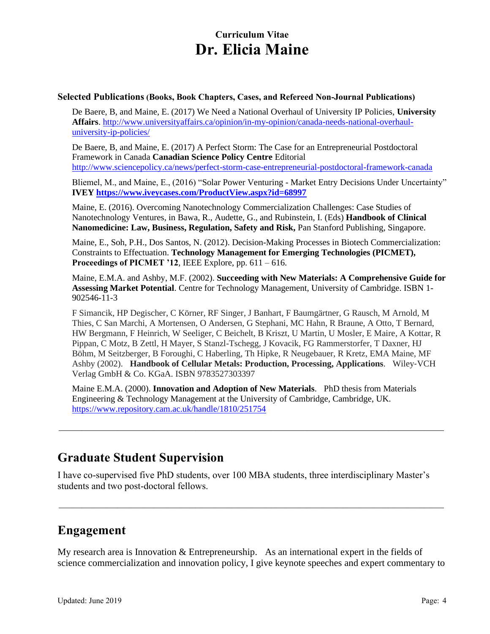#### **Selected Publications (Books, Book Chapters, Cases, and Refereed Non-Journal Publications)**

De Baere, B, and Maine, E. (2017) We Need a National Overhaul of University IP Policies, **University Affairs**. [http://www.universityaffairs.ca/opinion/in-my-opinion/canada-needs-national-overhaul](http://www.universityaffairs.ca/opinion/in-my-opinion/canada-needs-national-overhaul-university-ip-policies/)[university-ip-policies/](http://www.universityaffairs.ca/opinion/in-my-opinion/canada-needs-national-overhaul-university-ip-policies/)

De Baere, B, and Maine, E. (2017) A Perfect Storm: The Case for an Entrepreneurial Postdoctoral Framework in Canada **Canadian Science Policy Centre** Editorial <http://www.sciencepolicy.ca/news/perfect-storm-case-entrepreneurial-postdoctoral-framework-canada>

Bliemel, M., and Maine, E., (2016) "Solar Power Venturing - Market Entry Decisions Under Uncertainty" **IVEY<https://www.iveycases.com/ProductView.aspx?id=68997>**

Maine, E. (2016). Overcoming Nanotechnology Commercialization Challenges: Case Studies of Nanotechnology Ventures, in Bawa, R., Audette, G., and Rubinstein, I. (Eds) **Handbook of Clinical Nanomedicine: Law, Business, Regulation, Safety and Risk,** Pan Stanford Publishing, Singapore.

Maine, E., Soh, P.H., Dos Santos, N. (2012). Decision-Making Processes in Biotech Commercialization: Constraints to Effectuation. **Technology Management for Emerging Technologies (PICMET), Proceedings of PICMET '12, IEEE Explore, pp.**  $611 - 616$ **.** 

Maine, E.M.A. and Ashby, M.F. (2002). **Succeeding with New Materials: A Comprehensive Guide for Assessing Market Potential**. Centre for Technology Management, University of Cambridge. ISBN 1- 902546-11-3

F Simancik, HP Degischer, C Körner, RF Singer, J Banhart, F Baumgärtner, G Rausch, M Arnold, M Thies, C San Marchi, A Mortensen, O Andersen, G Stephani, MC Hahn, R Braune, A Otto, T Bernard, HW Bergmann, F Heinrich, W Seeliger, C Beichelt, B Kriszt, U Martin, U Mosler, E Maire, A Kottar, R Pippan, C Motz, B Zettl, H Mayer, S Stanzl-Tschegg, J Kovacik, FG Rammerstorfer, T Daxner, HJ Böhm, M Seitzberger, B Foroughi, C Haberling, Th Hipke, R Neugebauer, R Kretz, EMA Maine, MF Ashby (2002). **Handbook of Cellular Metals: Production, Processing, Applications**. Wiley‐VCH Verlag GmbH & Co. KGaA. ISBN 9783527303397

Maine E.M.A. (2000). **Innovation and Adoption of New Materials**. PhD thesis from Materials Engineering & Technology Management at the University of Cambridge, Cambridge, UK. <https://www.repository.cam.ac.uk/handle/1810/251754>

**\_\_\_\_\_\_\_\_\_\_\_\_\_\_\_\_\_\_\_\_\_\_\_\_\_\_\_\_\_\_\_\_\_\_\_\_\_\_\_\_\_\_\_\_\_\_\_\_\_\_\_\_\_\_\_\_\_\_\_\_\_\_\_\_\_\_\_\_\_\_\_\_\_\_\_\_\_\_\_\_\_\_\_\_\_\_\_\_\_\_\_\_\_\_\_\_\_\_\_\_\_\_\_\_\_\_\_\_\_\_\_\_\_\_\_\_\_\_**

#### **Graduate Student Supervision**

I have co-supervised five PhD students, over 100 MBA students, three interdisciplinary Master's students and two post-doctoral fellows.

#### **Engagement**

My research area is Innovation & Entrepreneurship. As an international expert in the fields of science commercialization and innovation policy, I give keynote speeches and expert commentary to

**\_\_\_\_\_\_\_\_\_\_\_\_\_\_\_\_\_\_\_\_\_\_\_\_\_\_\_\_\_\_\_\_\_\_\_\_\_\_\_\_\_\_\_\_\_\_\_\_\_\_\_\_\_\_\_\_\_\_\_\_\_\_\_\_\_\_\_\_\_\_\_\_\_\_\_\_\_\_\_\_\_\_\_\_\_\_\_\_\_\_\_\_\_\_\_\_\_\_\_\_\_\_\_\_\_\_\_\_\_\_\_\_\_\_\_\_\_\_**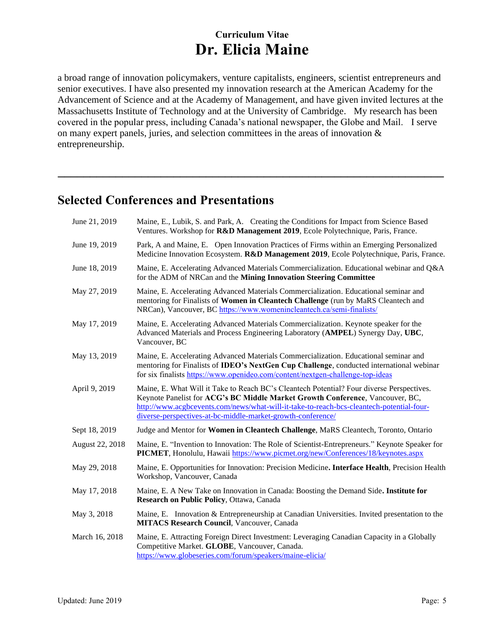a broad range of innovation policymakers, venture capitalists, engineers, scientist entrepreneurs and senior executives. I have also presented my innovation research at the American Academy for the Advancement of Science and at the Academy of Management, and have given invited lectures at the Massachusetts Institute of Technology and at the University of Cambridge. My research has been covered in the popular press, including Canada's national newspaper, the Globe and Mail. I serve on many expert panels, juries, and selection committees in the areas of innovation & entrepreneurship.

**\_\_\_\_\_\_\_\_\_\_\_\_\_\_\_\_\_\_\_\_\_\_\_\_\_\_\_\_\_\_\_\_\_\_\_\_\_\_\_\_\_\_\_\_\_\_\_\_\_\_\_\_\_\_\_\_\_\_\_\_**

#### **Selected Conferences and Presentations**

| June 21, 2019   | Maine, E., Lubik, S. and Park, A. Creating the Conditions for Impact from Science Based<br>Ventures. Workshop for R&D Management 2019, Ecole Polytechnique, Paris, France.                                                                                                                                                            |
|-----------------|---------------------------------------------------------------------------------------------------------------------------------------------------------------------------------------------------------------------------------------------------------------------------------------------------------------------------------------|
| June 19, 2019   | Park, A and Maine, E. Open Innovation Practices of Firms within an Emerging Personalized<br>Medicine Innovation Ecosystem. R&D Management 2019, Ecole Polytechnique, Paris, France.                                                                                                                                                   |
| June 18, 2019   | Maine, E. Accelerating Advanced Materials Commercialization. Educational webinar and Q&A<br>for the ADM of NRCan and the Mining Innovation Steering Committee                                                                                                                                                                         |
| May 27, 2019    | Maine, E. Accelerating Advanced Materials Commercialization. Educational seminar and<br>mentoring for Finalists of Women in Cleantech Challenge (run by MaRS Cleantech and<br>NRCan), Vancouver, BC https://www.womenincleantech.ca/semi-finalists/                                                                                   |
| May 17, 2019    | Maine, E. Accelerating Advanced Materials Commercialization. Keynote speaker for the<br>Advanced Materials and Process Engineering Laboratory (AMPEL) Synergy Day, UBC,<br>Vancouver, BC                                                                                                                                              |
| May 13, 2019    | Maine, E. Accelerating Advanced Materials Commercialization. Educational seminar and<br>mentoring for Finalists of IDEO's NextGen Cup Challenge, conducted international webinar<br>for six finalists https://www.openideo.com/content/nextgen-challenge-top-ideas                                                                    |
| April 9, 2019   | Maine, E. What Will it Take to Reach BC's Cleantech Potential? Four diverse Perspectives.<br>Keynote Panelist for ACG's BC Middle Market Growth Conference, Vancouver, BC,<br>http://www.acgbcevents.com/news/what-will-it-take-to-reach-bcs-cleantech-potential-four-<br>diverse-perspectives-at-bc-middle-market-growth-conference/ |
| Sept 18, 2019   | Judge and Mentor for Women in Cleantech Challenge, MaRS Cleantech, Toronto, Ontario                                                                                                                                                                                                                                                   |
| August 22, 2018 | Maine, E. "Invention to Innovation: The Role of Scientist-Entrepreneurs." Keynote Speaker for<br><b>PICMET</b> , Honolulu, Hawaii https://www.picmet.org/new/Conferences/18/keynotes.aspx                                                                                                                                             |
| May 29, 2018    | Maine, E. Opportunities for Innovation: Precision Medicine. Interface Health, Precision Health<br>Workshop, Vancouver, Canada                                                                                                                                                                                                         |
| May 17, 2018    | Maine, E. A New Take on Innovation in Canada: Boosting the Demand Side. Institute for<br>Research on Public Policy, Ottawa, Canada                                                                                                                                                                                                    |
| May 3, 2018     | Maine, E. Innovation & Entrepreneurship at Canadian Universities. Invited presentation to the<br><b>MITACS Research Council</b> , Vancouver, Canada                                                                                                                                                                                   |
| March 16, 2018  | Maine, E. Attracting Foreign Direct Investment: Leveraging Canadian Capacity in a Globally<br>Competitive Market. GLOBE, Vancouver, Canada.<br>https://www.globeseries.com/forum/speakers/maine-elicia/                                                                                                                               |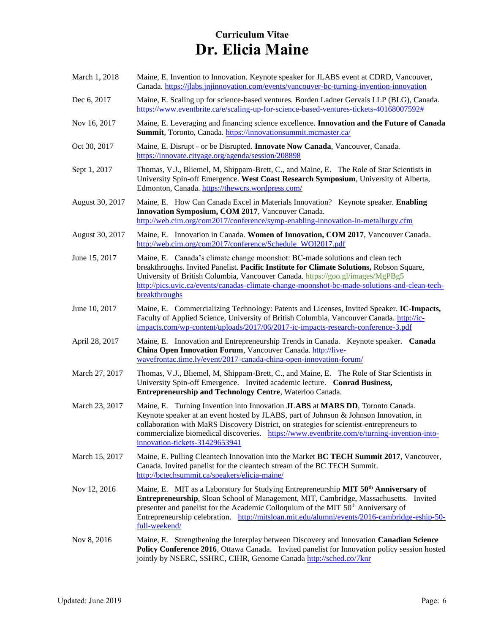| March 1, 2018   | Maine, E. Invention to Innovation. Keynote speaker for JLABS event at CDRD, Vancouver,<br>Canada. https://jlabs.jnjinnovation.com/events/vancouver-bc-turning-invention-innovation                                                                                                                                                                                                                        |
|-----------------|-----------------------------------------------------------------------------------------------------------------------------------------------------------------------------------------------------------------------------------------------------------------------------------------------------------------------------------------------------------------------------------------------------------|
| Dec 6, 2017     | Maine, E. Scaling up for science-based ventures. Borden Ladner Gervais LLP (BLG), Canada.<br>https://www.eventbrite.ca/e/scaling-up-for-science-based-ventures-tickets-40168007592#                                                                                                                                                                                                                       |
| Nov 16, 2017    | Maine, E. Leveraging and financing science excellence. Innovation and the Future of Canada<br>Summit, Toronto, Canada. https://innovationsummit.mcmaster.ca/                                                                                                                                                                                                                                              |
| Oct 30, 2017    | Maine, E. Disrupt - or be Disrupted. Innovate Now Canada, Vancouver, Canada.<br>https://innovate.cityage.org/agenda/session/208898                                                                                                                                                                                                                                                                        |
| Sept 1, 2017    | Thomas, V.J., Bliemel, M, Shippam-Brett, C., and Maine, E. The Role of Star Scientists in<br>University Spin-off Emergence. West Coast Research Symposium, University of Alberta,<br>Edmonton, Canada. https://thewcrs.wordpress.com/                                                                                                                                                                     |
| August 30, 2017 | Maine, E. How Can Canada Excel in Materials Innovation? Keynote speaker. Enabling<br>Innovation Symposium, COM 2017, Vancouver Canada.<br>http://web.cim.org/com2017/conference/symp-enabling-innovation-in-metallurgy.cfm                                                                                                                                                                                |
| August 30, 2017 | Maine, E. Innovation in Canada. Women of Innovation, COM 2017, Vancouver Canada.<br>http://web.cim.org/com2017/conference/Schedule WOI2017.pdf                                                                                                                                                                                                                                                            |
| June 15, 2017   | Maine, E. Canada's climate change moonshot: BC-made solutions and clean tech<br>breakthroughs. Invited Panelist. Pacific Institute for Climate Solutions, Robson Square,<br>University of British Columbia, Vancouver Canada. https://goo.gl/images/MgPBg5<br>http://pics.uvic.ca/events/canadas-climate-change-moonshot-bc-made-solutions-and-clean-tech-<br>breakthroughs                               |
| June 10, 2017   | Maine, E. Commercializing Technology: Patents and Licenses, Invited Speaker. IC-Impacts,<br>Faculty of Applied Science, University of British Columbia, Vancouver Canada. http://ic-<br>impacts.com/wp-content/uploads/2017/06/2017-ic-impacts-research-conference-3.pdf                                                                                                                                  |
| April 28, 2017  | Maine, E. Innovation and Entrepreneurship Trends in Canada. Keynote speaker. Canada<br>China Open Innovation Forum, Vancouver Canada. http://live-<br>wavefrontac.time.ly/event/2017-canada-china-open-innovation-forum/                                                                                                                                                                                  |
| March 27, 2017  | Thomas, V.J., Bliemel, M, Shippam-Brett, C., and Maine, E. The Role of Star Scientists in<br>University Spin-off Emergence. Invited academic lecture. Conrad Business,<br>Entrepreneurship and Technology Centre, Waterloo Canada.                                                                                                                                                                        |
| March 23, 2017  | Maine, E. Turning Invention into Innovation JLABS at MARS DD, Toronto Canada.<br>Keynote speaker at an event hosted by JLABS, part of Johnson & Johnson Innovation, in<br>collaboration with MaRS Discovery District, on strategies for scientist-entrepreneurs to<br>commercialize biomedical discoveries.<br>https://www.eventbrite.com/e/turning-invention-into-<br>innovation-tickets-31429653941     |
| March 15, 2017  | Maine, E. Pulling Cleantech Innovation into the Market BC TECH Summit 2017, Vancouver,<br>Canada. Invited panelist for the cleantech stream of the BC TECH Summit.<br>http://bctechsummit.ca/speakers/elicia-maine/                                                                                                                                                                                       |
| Nov 12, 2016    | Maine, E. MIT as a Laboratory for Studying Entrepreneurship MIT 50 <sup>th</sup> Anniversary of<br>Entrepreneurship, Sloan School of Management, MIT, Cambridge, Massachusetts. Invited<br>presenter and panelist for the Academic Colloquium of the MIT 50 <sup>th</sup> Anniversary of<br>Entrepreneurship celebration. http://mitsloan.mit.edu/alumni/events/2016-cambridge-eship-50-<br>full-weekend/ |
| Nov 8, 2016     | Maine, E. Strengthening the Interplay between Discovery and Innovation Canadian Science<br>Policy Conference 2016, Ottawa Canada. Invited panelist for Innovation policy session hosted<br>jointly by NSERC, SSHRC, CIHR, Genome Canada http://sched.co/7knr                                                                                                                                              |